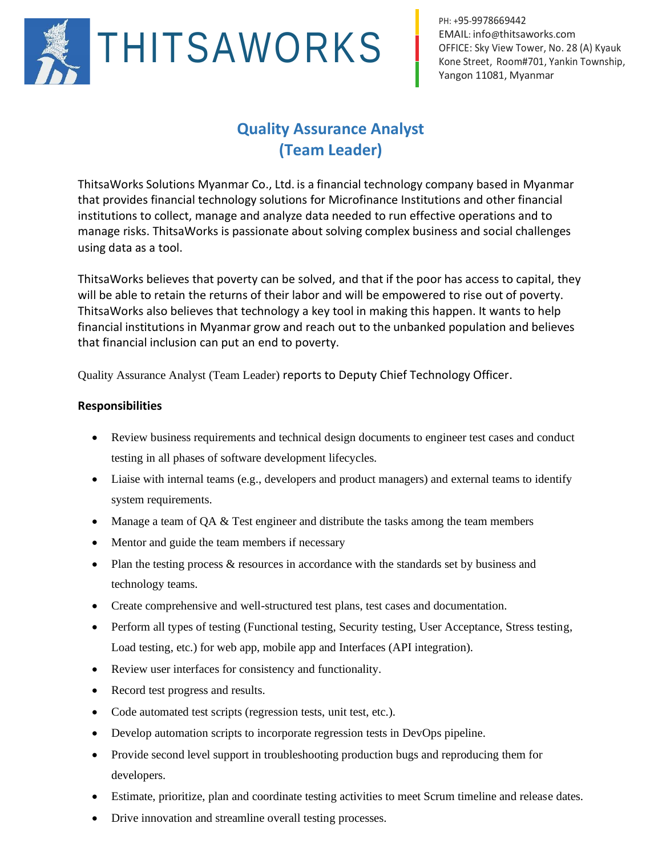

PH: +95-9978669442 EMAIL: info@[thitsaworks](mailto:info@thitsaworks.com).com OFFICE: Sky View Tower, No. 28 (A) Kyauk Kone Street, Room#701, Yankin Township, Yangon 11081, Myanmar

## **Quality Assurance Analyst (Team Leader)**

ThitsaWorks Solutions Myanmar Co., Ltd. is a financial technology company based in Myanmar that provides financial technology solutions for Microfinance Institutions and other financial institutions to collect, manage and analyze data needed to run effective operations and to manage risks. ThitsaWorks is passionate about solving complex business and social challenges using data as a tool.

ThitsaWorks believes that poverty can be solved, and that if the poor has access to capital, they will be able to retain the returns of their labor and will be empowered to rise out of poverty. ThitsaWorks also believes that technology a key tool in making this happen. It wants to help financial institutions in Myanmar grow and reach out to the unbanked population and believes that financial inclusion can put an end to poverty.

Quality Assurance Analyst (Team Leader) reports to Deputy Chief Technology Officer.

## **Responsibilities**

- Review business requirements and technical design documents to engineer test cases and conduct testing in all phases of software development lifecycles.
- Liaise with internal teams (e.g., developers and product managers) and external teams to identify system requirements.
- Manage a team of QA & Test engineer and distribute the tasks among the team members
- Mentor and guide the team members if necessary
- Plan the testing process & resources in accordance with the standards set by business and technology teams.
- Create comprehensive and well-structured test plans, test cases and documentation.
- Perform all types of testing (Functional testing, Security testing, User Acceptance, Stress testing, Load testing, etc.) for web app, mobile app and Interfaces (API integration).
- Review user interfaces for consistency and functionality.
- Record test progress and results.
- Code automated test scripts (regression tests, unit test, etc.).
- Develop automation scripts to incorporate regression tests in DevOps pipeline.
- Provide second level support in troubleshooting production bugs and reproducing them for developers.
- Estimate, prioritize, plan and coordinate testing activities to meet Scrum timeline and release dates.
- Drive innovation and streamline overall testing processes.